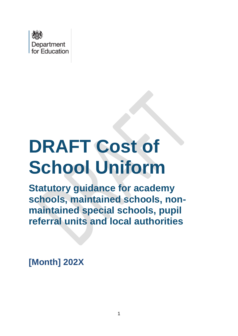

# **DRAFT Cost of School Uniform**

**Statutory guidance for academy schools, maintained schools, nonmaintained special schools, pupil referral units and local authorities** 

**[Month] 202X**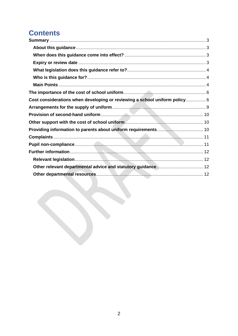# **Contents**

| Cost considerations when developing or reviewing a school uniform policy 6 |  |
|----------------------------------------------------------------------------|--|
|                                                                            |  |
|                                                                            |  |
|                                                                            |  |
|                                                                            |  |
|                                                                            |  |
|                                                                            |  |
|                                                                            |  |
|                                                                            |  |
|                                                                            |  |
|                                                                            |  |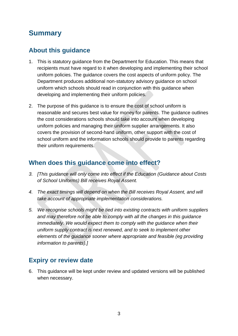# <span id="page-2-0"></span>**Summary**

### <span id="page-2-1"></span>**About this guidance**

- 1. This is statutory guidance from the Department for Education. This means that recipients must have regard to it when developing and implementing their school uniform policies. The guidance covers the cost aspects of uniform policy. The Department produces additional non-statutory advisory guidance on school uniform which schools should read in conjunction with this guidance when developing and implementing their uniform policies.
- 2. The purpose of this guidance is to ensure the cost of school uniform is reasonable and secures best value for money for parents. The guidance outlines the cost considerations schools should take into account when developing uniform policies and managing their uniform supplier arrangements. It also covers the provision of second-hand uniform, other support with the cost of school uniform and the information schools should provide to parents regarding their uniform requirements.

#### <span id="page-2-2"></span>**When does this guidance come into effect?**

- *3. [This guidance will only come into effect if the Education (Guidance about Costs of School Uniforms) Bill receives Royal Assent.*
- *4. The exact timings will depend on when the Bill receives Royal Assent, and will take account of appropriate implementation considerations.*
- *5. We recognise schools might be tied into existing contracts with uniform suppliers and may therefore not be able to comply with all the changes in this guidance immediately.* We would expect them to comply with the guidance when their *uniform supply contract is next renewed, and to seek to implement other elements of the guidance sooner where appropriate and feasible (eg providing information to parents).]*

## <span id="page-2-3"></span>**Expiry or review date**

6. This guidance will be kept under review and updated versions will be published when necessary.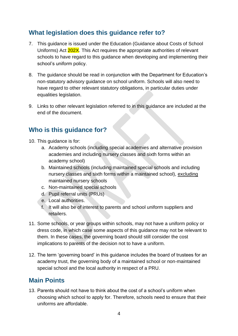### <span id="page-3-0"></span>**What legislation does this guidance refer to?**

- 7. This guidance is issued under the Education (Guidance about Costs of School Uniforms) Act 202X. This Act requires the appropriate authorities of relevant schools to have regard to this guidance when developing and implementing their school's uniform policy.
- 8. The guidance should be read in conjunction with the Department for Education's non-statutory advisory guidance on school uniform. Schools will also need to have regard to other relevant statutory obligations, in particular duties under equalities legislation.
- 9. Links to other relevant legislation referred to in this guidance are included at the end of the document.

### <span id="page-3-1"></span>**Who is this guidance for?**

- 10. This guidance is for:
	- a. Academy schools (including special academies and alternative provision academies and including nursery classes and sixth forms within an academy school)
	- b. Maintained schools (including maintained special schools and including nursery classes and sixth forms within a maintained school), excluding maintained nursery schools
	- c. Non-maintained special schools
	- d. Pupil referral units (PRUs)
	- e. Local authorities.
	- f. It will also be of interest to parents and school uniform suppliers and retailers.
- 11. Some schools, or year groups within schools, may not have a uniform policy or dress code, in which case some aspects of this guidance may not be relevant to them. In these cases, the governing board should still consider the cost implications to parents of the decision not to have a uniform.
- 12. The term 'governing board' in this guidance includes the board of trustees for an academy trust, the governing body of a maintained school or non-maintained special school and the local authority in respect of a PRU.

#### <span id="page-3-2"></span>**Main Points**

13. Parents should not have to think about the cost of a school's uniform when choosing which school to apply for. Therefore, schools need to ensure that their uniforms are affordable.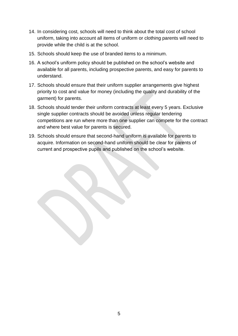- 14. In considering cost, schools will need to think about the total cost of school uniform, taking into account all items of uniform or clothing parents will need to provide while the child is at the school.
- 15. Schools should keep the use of branded items to a minimum.
- 16. A school's uniform policy should be published on the school's website and available for all parents, including prospective parents, and easy for parents to understand.
- 17. Schools should ensure that their uniform supplier arrangements give highest priority to cost and value for money (including the quality and durability of the garment) for parents.
- 18. Schools should tender their uniform contracts at least every 5 years. Exclusive single supplier contracts should be avoided unless regular tendering competitions are run where more than one supplier can compete for the contract and where best value for parents is secured.
- 19. Schools should ensure that second-hand uniform is available for parents to acquire. Information on second-hand uniform should be clear for parents of current and prospective pupils and published on the school's website.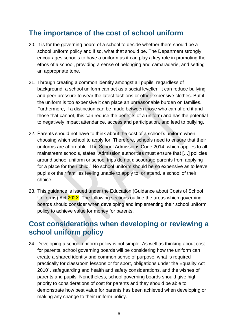## <span id="page-5-0"></span>**The importance of the cost of school uniform**

- 20. It is for the governing board of a school to decide whether there should be a school uniform policy and if so, what that should be. The Department strongly encourages schools to have a uniform as it can play a key role in promoting the ethos of a school, providing a sense of belonging and camaraderie, and setting an appropriate tone.
- 21. Through creating a common identity amongst all pupils, regardless of background, a school uniform can act as a social leveller. It can reduce bullying and peer pressure to wear the latest fashions or other expensive clothes. But if the uniform is too expensive it can place an unreasonable burden on families. Furthermore, if a distinction can be made between those who can afford it and those that cannot, this can reduce the benefits of a uniform and has the potential to negatively impact attendance, access and participation, and lead to bullying.
- 22. Parents should not have to think about the cost of a school's uniform when choosing which school to apply for. Therefore, schools need to ensure that their uniforms are affordable. The School Admissions Code 2014, which applies to all mainstream schools, states "Admission authorities must ensure that […] policies around school uniform or school trips do not discourage parents from applying for a place for their child." No school uniform should be so expensive as to leave pupils or their families feeling unable to apply to, or attend, a school of their choice.
- 23. This guidance is issued under the Education (Guidance about Costs of School Uniforms) Act 202X. The following sections outline the areas which governing boards should consider when developing and implementing their school uniform policy to achieve value for money for parents.

## <span id="page-5-1"></span>**Cost considerations when developing or reviewing a school uniform policy**

24. Developing a school uniform policy is not simple. As well as thinking about cost for parents, school governing boards will be considering how the uniform can create a shared identity and common sense of purpose, what is required practically for classroom lessons or for sport, obligations under the Equality Act 2010<sup>1</sup>, safeguarding and health and safety considerations, and the wishes of parents and pupils. Nonetheless, school governing boards should give high priority to considerations of cost for parents and they should be able to demonstrate how best value for parents has been achieved when developing or making any change to their uniform policy.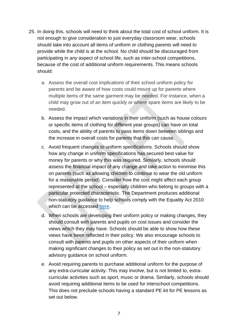- 25. In doing this, schools will need to think about the total cost of school uniform. It is not enough to give consideration to just everyday classroom wear, schools should take into account all items of uniform or clothing parents will need to provide while the child is at the school. No child should be discouraged from participating in *any* aspect of school life, such as inter-school competitions, because of the cost of additional uniform requirements. This means schools should:
	- a. Assess the overall cost implications of their school uniform policy for parents and be aware of how costs could mount up for parents where multiple items of the same garment may be needed. For instance, when a child may grow out of an item quickly or where spare items are likely to be needed.
	- b. Assess the impact which variations in their uniform (such as house colours or specific items of clothing for different year groups) can have on total costs, and the ability of parents to pass items down between siblings and the increase in overall costs for parents that this can cause.
	- c. Avoid frequent changes to uniform specifications. Schools should show how any change in uniform specifications has secured best value for money for parents or why this was required. Similarly, schools should assess the financial impact of any change and take action to minimise this on parents (such as allowing children to continue to wear the old uniform for a reasonable period). Consider how the cost might affect each group represented at the school – especially children who belong to groups with a particular protected characteristic. The Department produces additional non-statutory guidance to help schools comply with the Equality Act 2010 which can be accessed [here.](https://www.gov.uk/government/publications/school-uniform)
	- d. When schools are developing their uniform policy or making changes, they should consult with parents and pupils on cost issues and consider the views which they may have. Schools should be able to show how these views have been reflected in their policy. We also encourage schools to consult with parents and pupils on other aspects of their uniform when making significant changes to their policy as set out in the non-statutory advisory guidance on school uniform.
	- e. Avoid requiring parents to purchase additional uniform for the purpose of any extra-curricular activity. This may involve, but is not limited to, extracurricular activities such as sport, music or drama. Similarly, schools should avoid requiring additional items to be used for interschool competitions. This does not preclude schools having a standard PE kit for PE lessons as set out below.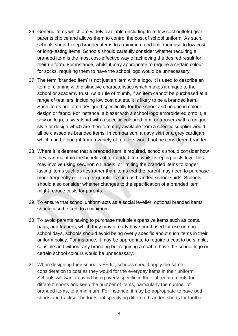- 26. Generic items which are widely available (including from low cost outlets) give parents choice and allows them to control the cost of school uniform. As such, schools should keep branded items to a minimum and limit their use to low cost or long-lasting items. Schools should carefully consider whether requiring a branded item is the most cost-effective way of achieving the desired result for their uniform. For instance, whilst it may appropriate to require a certain colour for socks, requiring them to have the school logo would be unnecessary.
- 27. The term 'branded item' is not just an item with a logo, it is used to describe an item of clothing with distinctive characteristics which makes it unique to the school or academy trust. As a rule of thumb, if an item cannot be purchased at a range of retailers, including low cost outlets, it is likely to be a branded item. Such items are often designed specifically for the school and unique in colour, design or fabric. For instance, a blazer with a school logo embroidered onto it, a sew on logo, a sweatshirt with a specific coloured trim, or trousers with a unique style or design which are therefore only available from a specific supplier would all be classed as branded items. In comparison, a navy skirt or a grey cardigan which can be bought from a variety of retailers would not be considered branded.
- 28. Where it is deemed that a branded item is required, schools should consider how they can maintain the benefits of a branded item whilst keeping costs low. This may involve using sew/iron on labels, or limiting the branded items to longer lasting items such as ties rather than items that the parent may need to purchase more frequently or in larger quantities such as branded school shirts. Schools should also consider whether changes to the specification of a branded item might reduce costs for parents.
- 29. To ensure that school uniform acts as a social leveller, optional branded items should also be kept to a minimum.
- 30. To avoid parents having to purchase multiple expensive items such as coats, bags, and trainers, which they may already have purchased for use on nonschool days, schools should avoid being overly specific about such items in their uniform policy. For instance, it may be appropriate to require a coat to be simple, sensible and without any branding but requiring a coat to have the school logo or certain school colours would be unnecessary.
- 31. When designing their school's PE kit, schools should apply the same consideration to cost as they would for the everyday items in their uniform. Schools will want to avoid being overly specific in their kit requirements for different sports and keep the number of items, particularly the number of branded items, to a minimum. For instance, it may be appropriate to have both shorts and tracksuit bottoms but specifying different branded shorts for football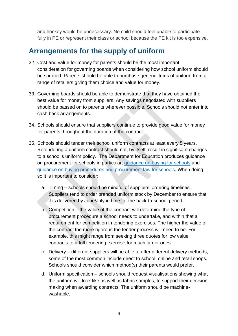and hockey would be unnecessary. No child should feel unable to participate fully in PE or represent their class or school because the PE kit is too expensive.

## <span id="page-8-0"></span>**Arrangements for the supply of uniform**

- 32. Cost and value for money for parents should be the most important consideration for governing boards when considering how school uniform should be sourced. Parents should be able to purchase generic items of uniform from a range of retailers giving them choice and value for money.
- 33. Governing boards should be able to demonstrate that they have obtained the best value for money from suppliers. Any savings negotiated with suppliers should be passed on to parents wherever possible. Schools should not enter into cash back arrangements.
- 34. Schools should ensure that suppliers continue to provide good value for money for parents throughout the duration of the contract.
- 35. Schools should tender their school uniform contracts at least every 5 years. Retendering a uniform contract should not, by itself, result in significant changes to a school's uniform policy. The Department for Education produces guidance on procurement for schools in particular, [guidance on buying for schools](https://www.gov.uk/guidance/buying-for-schools) and [guidance on buying procedures and procurement law for schools.](https://www.gov.uk/guidance/buying-procedures-and-procurement-law-for-schools) When doing so it is important to consider:
	- a. Timing schools should be mindful of suppliers' ordering timelines. Suppliers tend to order branded uniform stock by December to ensure that it is delivered by June/July in time for the back-to-school period.
	- b. Competition the value of the contract will determine the type of procurement procedure a school needs to undertake, and within that a requirement for competition in tendering exercises. The higher the value of the contract the more rigorous the tender process will need to be. For example, this might range from seeking three quotes for low value contracts to a full tendering exercise for much larger ones.
	- c. Delivery different suppliers will be able to offer different delivery methods, some of the most common include direct to school, online and retail shops. Schools should consider which method(s) their parents would prefer.
	- d. Uniform specification schools should request visualisations showing what the uniform will look like as well as fabric samples, to support their decision making when awarding contracts. The uniform should be machinewashable.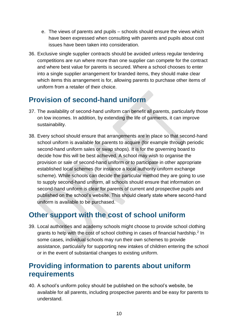- e. The views of parents and pupils schools should ensure the views which have been expressed when consulting with parents and pupils about cost issues have been taken into consideration.
- 36. Exclusive single supplier contracts should be avoided unless regular tendering competitions are run where more than one supplier can compete for the contract and where best value for parents is secured. Where a school chooses to enter into a single supplier arrangement for branded items, they should make clear which items this arrangement is for, allowing parents to purchase other items of uniform from a retailer of their choice.

# <span id="page-9-0"></span>**Provision of second-hand uniform**

- 37. The availability of second-hand uniform can benefit all parents, particularly those on low incomes. In addition, by extending the life of garments, it can improve sustainability.
- 38. Every school should ensure that arrangements are in place so that second-hand school uniform is available for parents to acquire (for example through periodic second-hand uniform sales or swap shops). It is for the governing board to decide how this will be best achieved. A school may wish to organise the provision or sale of second-hand uniform or to participate in other appropriate established local schemes (for instance a local authority uniform exchange scheme). While schools can decide the particular method they are going to use to supply second-hand uniform, all schools should ensure that information on second-hand uniform is clear for parents of current and prospective pupils and published on the school's website. This should clearly state where second-hand uniform is available to be purchased.

# <span id="page-9-1"></span>**Other support with the cost of school uniform**

39. Local authorities and academy schools might choose to provide school clothing grants to help with the cost of school clothing in cases of financial hardship.<sup>2</sup> In some cases, individual schools may run their own schemes to provide assistance, particularly for supporting new intakes of children entering the school or in the event of substantial changes to existing uniform.

## <span id="page-9-2"></span>**Providing information to parents about uniform requirements**

40. A school's uniform policy should be published on the school's website, be available for all parents, including prospective parents and be easy for parents to understand.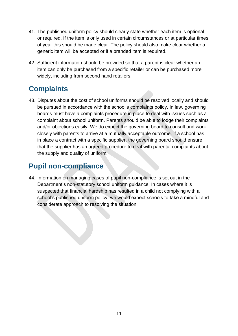- 41. The published uniform policy should clearly state whether each item is optional or required. If the item is only used in certain circumstances or at particular times of year this should be made clear. The policy should also make clear whether a generic item will be accepted or if a branded item is required.
- 42. Sufficient information should be provided so that a parent is clear whether an item can only be purchased from a specific retailer or can be purchased more widely, including from second hand retailers.

# <span id="page-10-0"></span>**Complaints**

43. Disputes about the cost of school uniforms should be resolved locally and should be pursued in accordance with the school's complaints policy. In law, governing boards must have a complaints procedure in place to deal with issues such as a complaint about school uniform. Parents should be able to lodge their complaints and/or objections easily. We do expect the governing board to consult and work closely with parents to arrive at a mutually acceptable outcome. If a school has in place a contract with a specific supplier, the governing board should ensure that the supplier has an agreed procedure to deal with parental complaints about the supply and quality of uniform.

# <span id="page-10-1"></span>**Pupil non-compliance**

44. Information on managing cases of pupil non-compliance is set out in the Department's non-statutory school uniform guidance. In cases where it is suspected that financial hardship has resulted in a child not complying with a school's published uniform policy, we would expect schools to take a mindful and considerate approach to resolving the situation.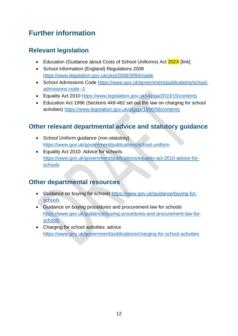# <span id="page-11-0"></span>**Further information**

## <span id="page-11-1"></span>**Relevant legislation**

- Education (Guidance about Costs of School Uniforms) Act 202X [link]
- School Information (England) Regulations 2008 <https://www.legislation.gov.uk/uksi/2008/3093/made>
- School Admissions Code [https://www.gov.uk/government/publications/school](https://www.gov.uk/government/publications/school-admissions-code--2)[admissions-code--2](https://www.gov.uk/government/publications/school-admissions-code--2)
- Equality Act 2010<https://www.legislation.gov.uk/ukpga/2010/15/contents>
- Education Act 1996 (Sections 449-462 set out the law on charging for school activities)<https://www.legislation.gov.uk/ukpga/1996/56/contents>

### <span id="page-11-2"></span>**Other relevant departmental advice and statutory guidance**

- School Uniform quidance (non-statutory) <https://www.gov.uk/government/publications/school-uniform>
- Equality Act 2010: Advice for schools [https://www.gov.uk/government/publications/equality-act-2010-advice-for](https://www.gov.uk/government/publications/equality-act-2010-advice-for-schools)[schools](https://www.gov.uk/government/publications/equality-act-2010-advice-for-schools)

#### <span id="page-11-3"></span>**Other departmental resources**

- Guidance on buying for schools [https://www.gov.uk/guidance/buying-for](https://www.gov.uk/guidance/buying-for-schools)[schools](https://www.gov.uk/guidance/buying-for-schools)
- Guidance on buying procedures and procurement law for schools [https://www.gov.uk/guidance/buying-procedures-and-procurement-law-for](https://www.gov.uk/guidance/buying-procedures-and-procurement-law-for-schools)[schools](https://www.gov.uk/guidance/buying-procedures-and-procurement-law-for-schools)
- Charging for school activities: advice <https://www.gov.uk/government/publications/charging-for-school-activities>